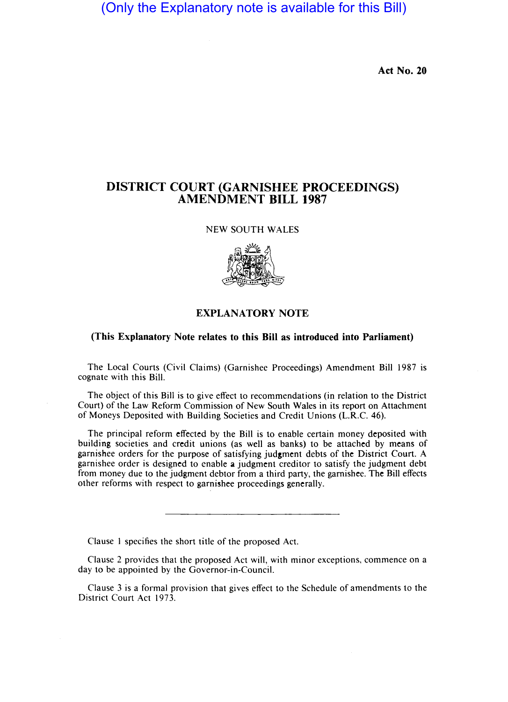(Only the Explanatory note is available for this Bill)

**Act No. 20** 

## **DISTRICT COURT (GARNISHEE PROCEEDINGS) AMENDMENT BILL 1987**

NEW SOUTH WALES



## **EXPLANATORY NOTE**

## **(This Explanatory Note relates to this Bill as introduced into Parliament)**

The Local Courts (Civil Claims) (Garnishee Proceedings) Amendment Bill 1987 is cognate with this Bill.

The object of this Bill is to give effect to recommendations (in relation to the District Court) of the Law Reform Commission of New South Wales in its report on Attachment of Moneys Deposited with Building Societies and Credit Unions (L.R.C. 46).

The principal reform effected by the Bill is to enable certain money deposited with building societies and credit unions (as well as banks) to be attached by means of garnishee orders for the purpose of satisfying judgment debts of the District Court. A garnishee order is designed to enable a judgment creditor to satisfy the judgment debt from money due to the judgment debtor from a third party, the garnishee. The Bill effects other reforms with respect to garnishee proceedings generally.

Clause I specifies the short title of the proposed Act.

Clause 2 provides that the proposed Act will, with minor exceptions, commence on a day to be appointed by the Governor-in-Council.

Clause 3 is a formal provision that gives effect to the Schedule of amendments to the District Court Act 1973.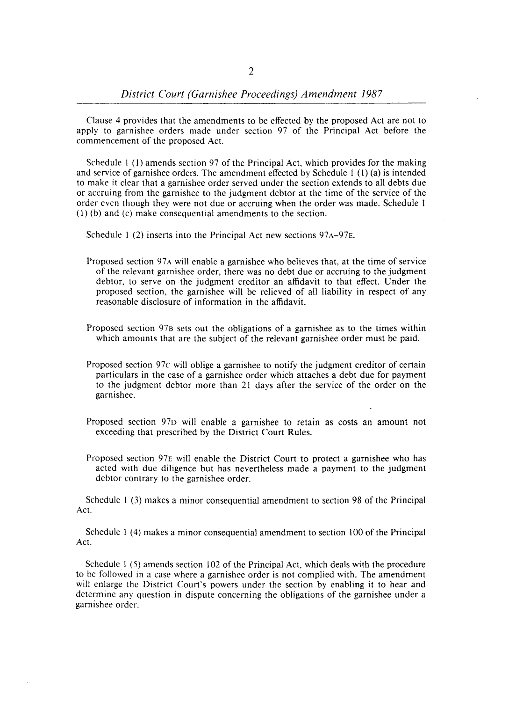Clause 4 provides that the amendments to be effected by the proposed Act are not to apply to garnishee orders made under section 97 of the Principal Act before the commencement of the proposed Act.

Schedule I (I) amends section 97 of the Principal Act, which provides for the making and service of garnishee orders. The amendment effected by Schedule I (I) (a) is intended to make it clear that a garnishee order served under the section extends to all debts due or accruing from the garnishee to the judgment debtor at the time of the service of the order even though they were not due or accruing when the order was made. Schedule I (I) (b) and (c) make consequential amendments to the section.

Schedule 1 (2) inserts into the Principal Act new sections  $97A-97E$ .

- Proposed section 97A will enable a garnishee who believes that, at the time of service of the relevant garnishee order, there was no debt due or accruing to the judgment debtor, to serve on the judgment creditor an affidavit to that effect. Under the proposed section, the garnishee will be relieved of all liability in respect of any reasonable disclosure of information in the affidavit.
- Proposed section 97B sets out the obligations of a garnishee as to the times within which amounts that are the subject of the relevant garnishee order must be paid.
- Proposed section 97 $\epsilon$  will oblige a garnishee to notify the judgment creditor of certain particulars in the case of a garnishee order which attaches a debt due for payment to the judgment debtor more than 21 days after the service of the order on the garnishee.
- Proposed section 97D will enable a garnishee to retain as costs an amount not exceeding that prescribed by the District Court Rules.
- Proposed section 97E will enable the District Court to protect a garnishee who has acted with due diligence but has nevertheless made a payment to the judgment debtor contrary to the garnishee order.

Schedule I (3) makes a minor consequential amendment to section 98 of the Principal Act.

Schedule I (4) makes a minor consequential amendment to section 100 of the Principal Act.

Schedule I (5) amends section 102 of the Principal Act, which deals with the procedure to be followed in a case where a garnishee order is not complied with. The amendment will enlarge the District Court's powers under the section by enabling it to hear and determine any question in dispute concerning the obligations of the garnishee under a garnishee order.